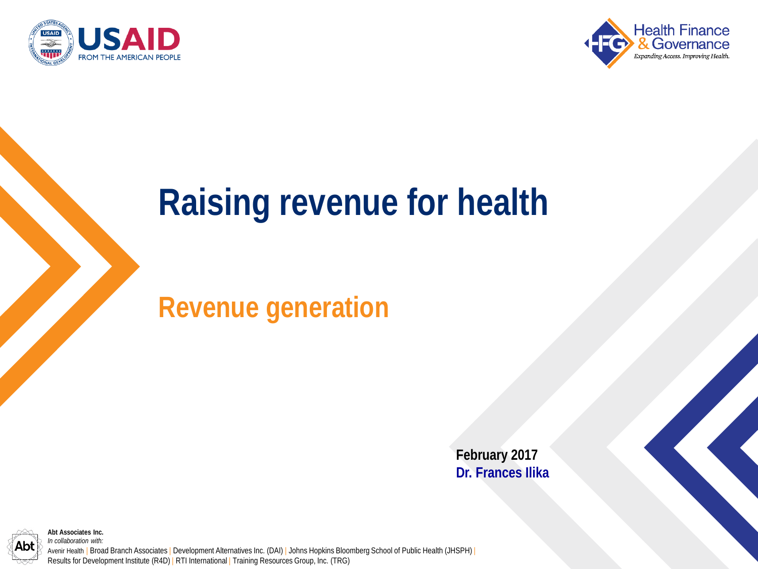



#### **Raising revenue for health**

#### **Revenue generation**

**February 2017 Dr. Frances Ilika**



*In collaboration with:* Avenir Health | Broad Branch Associates | Development Alternatives Inc. (DAI) | Johns Hopkins Bloomberg School of Public Health (JHSPH) | Results for Development Institute (R4D) | RTI International | Training Resources Group, Inc. (TRG)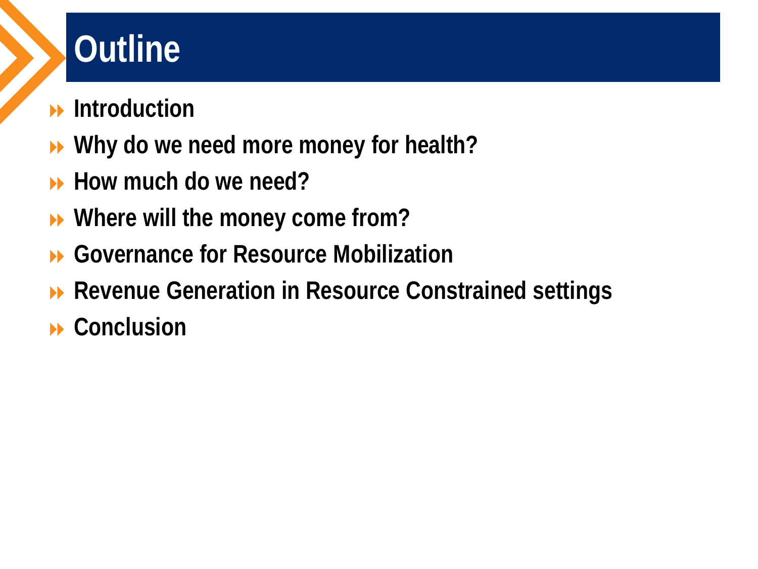## **Outline**

- **Introduction**
- **Why do we need more money for health?**
- **How much do we need?**
- **Where will the money come from?**
- **Governance for Resource Mobilization**
- **▶ Revenue Generation in Resource Constrained settings**
- **Conclusion**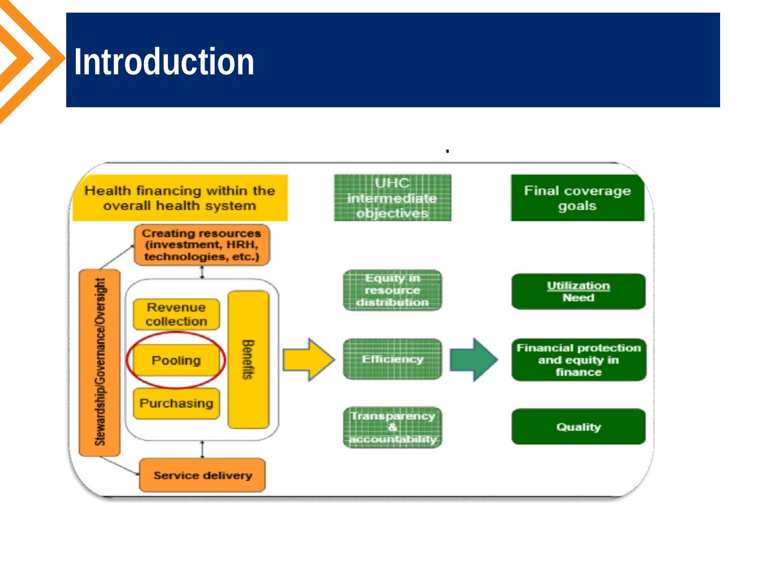#### **Introduction**

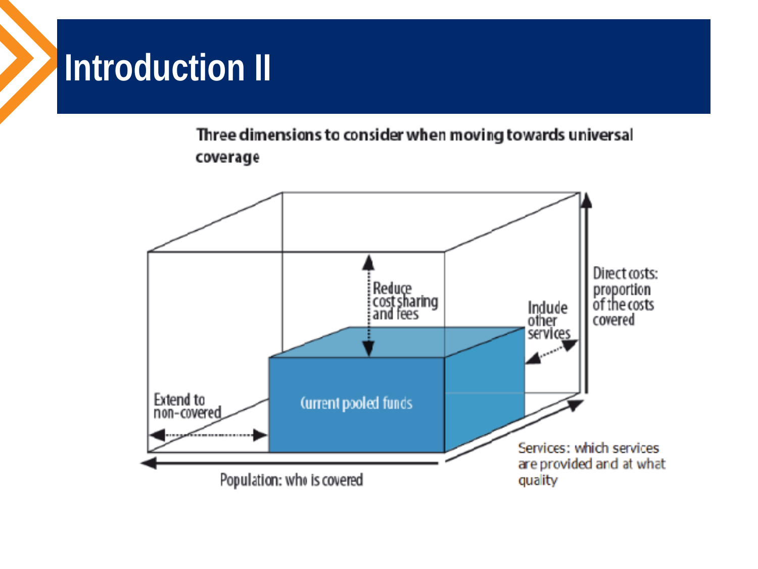### **Introduction II**

Three dimensions to consider when moving towards universal coverage

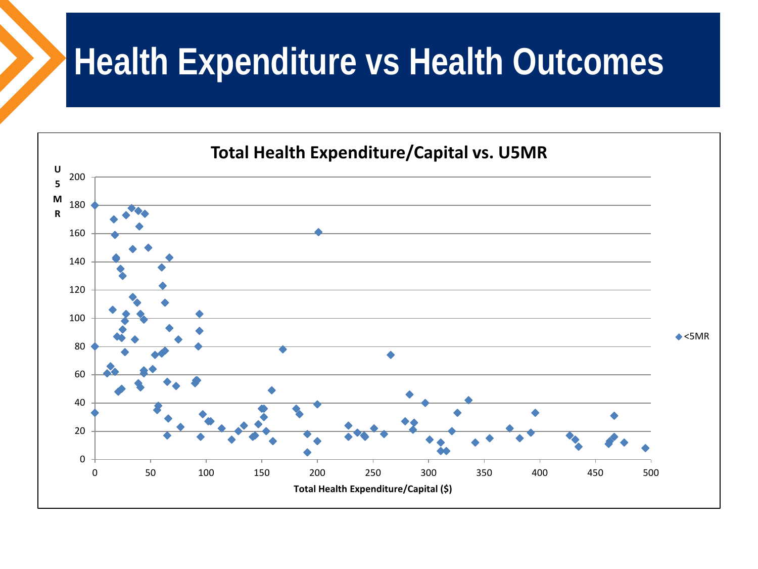#### **Health Expenditure vs Health Outcomes**

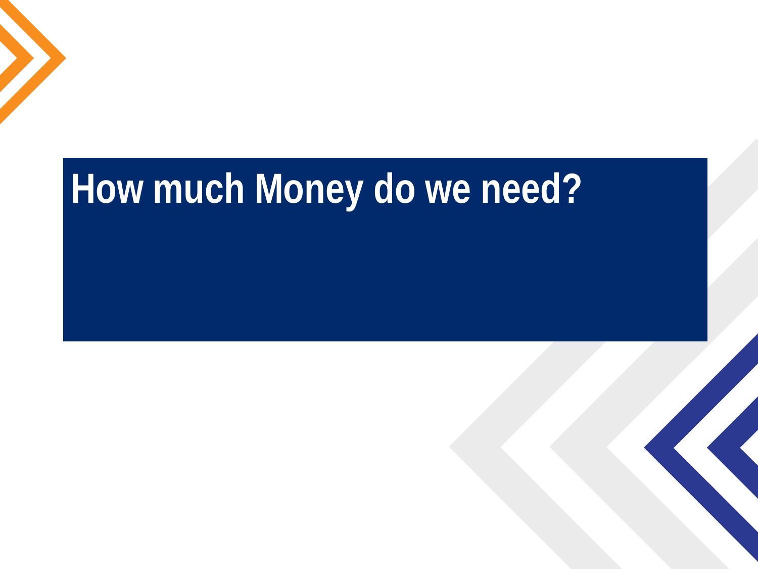## **How much Money do we need?**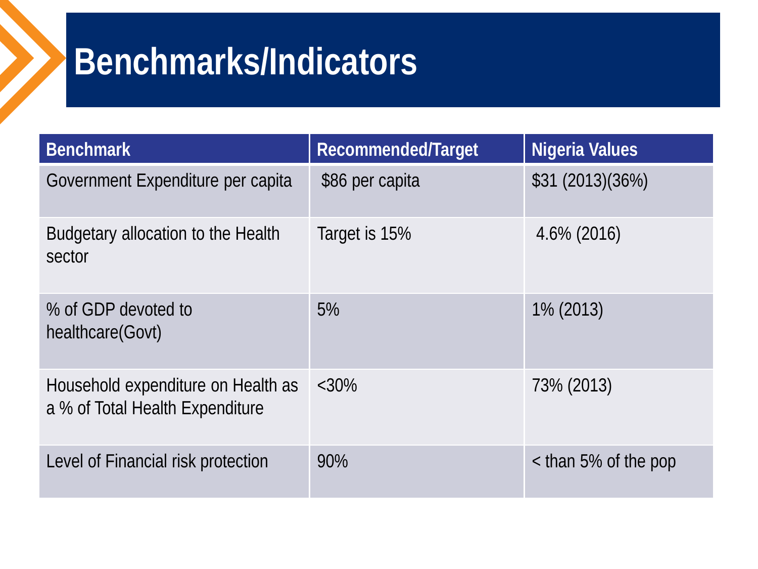### **Benchmarks/Indicators**

| <b>Benchmark</b>                                                      | Recommended/Target | Nigeria Values       |
|-----------------------------------------------------------------------|--------------------|----------------------|
| Government Expenditure per capita                                     | \$86 per capita    | \$31 (2013)(36%)     |
| Budgetary allocation to the Health<br>sector                          | Target is 15%      | $4.6\%$ (2016)       |
| % of GDP devoted to<br>healthcare(Govt)                               | 5%                 | 1% (2013)            |
| Household expenditure on Health as<br>a % of Total Health Expenditure | $<30\%$            | 73% (2013)           |
| Level of Financial risk protection                                    | 90%                | < than 5% of the pop |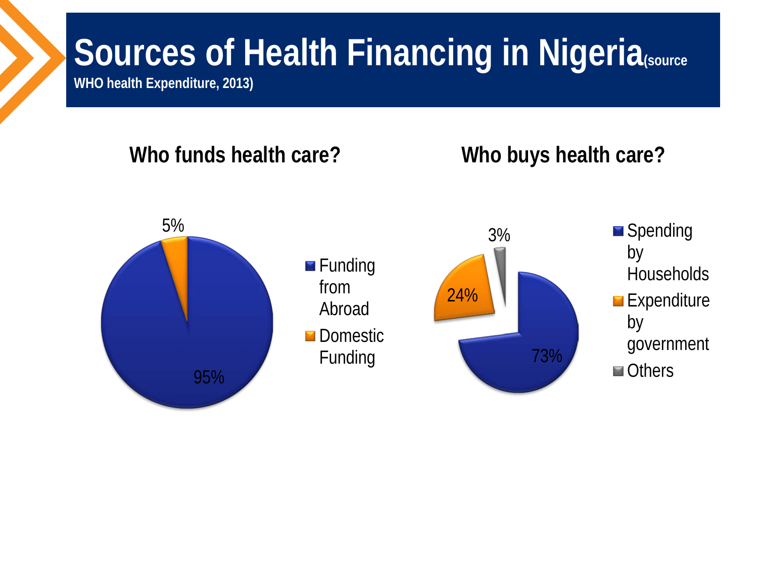## **Sources of Health Financing in Nigeria**(source

**WHO health Expenditure, 2013)** 

#### **Who funds health care?**

#### **Who buys health care?**



 $\blacksquare$  Funding from Abroad **Domestic** Funding



**Spending** by **Households Expenditure** by government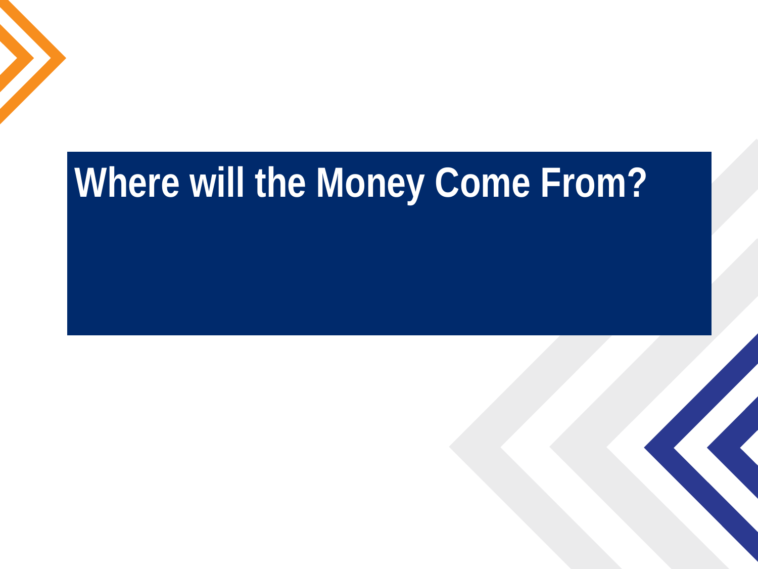## **Where will the Money Come From?**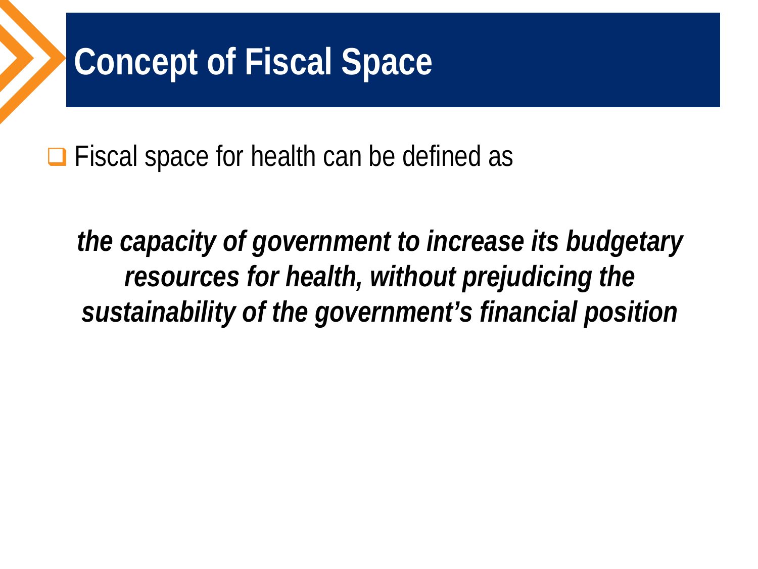### **Concept of Fiscal Space**

 $\Box$  Fiscal space for health can be defined as

*the capacity of government to increase its budgetary resources for health, without prejudicing the sustainability of the government's financial position*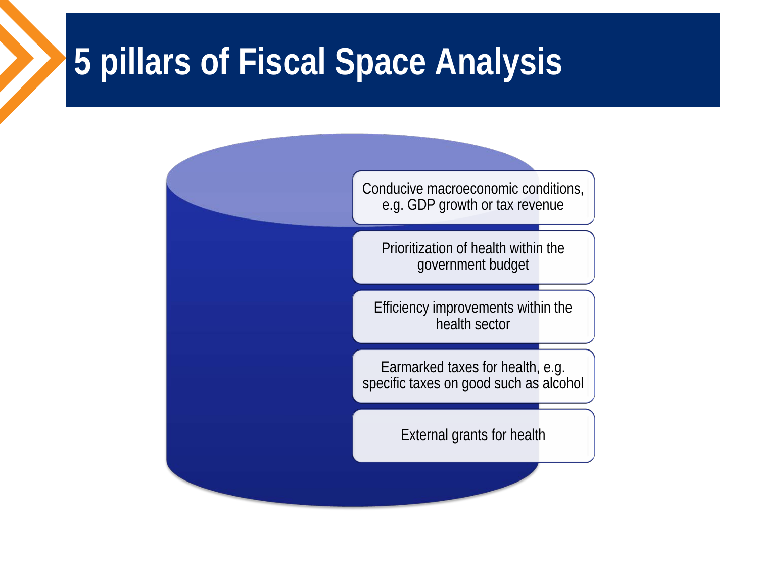#### **5 pillars of Fiscal Space Analysis**

Conducive macroeconomic conditions, e.g. GDP growth or tax revenue

Prioritization of health within the government budget

Efficiency improvements within the health sector

Earmarked taxes for health, e.g. specific taxes on good such as alcohol

External grants for health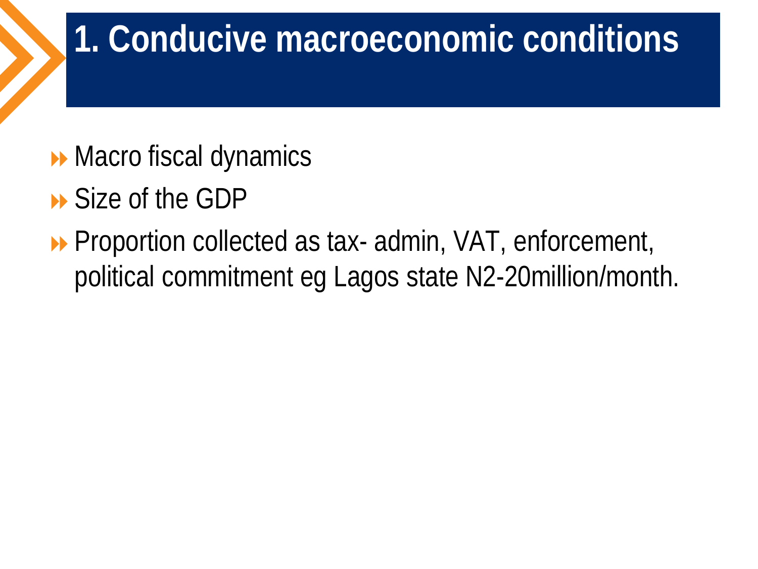#### **1. Conducive macroeconomic conditions**

- **Macro fiscal dynamics**
- Size of the GDP
- **Proportion collected as tax- admin, VAT, enforcement,** political commitment eg Lagos state N2-20million/month.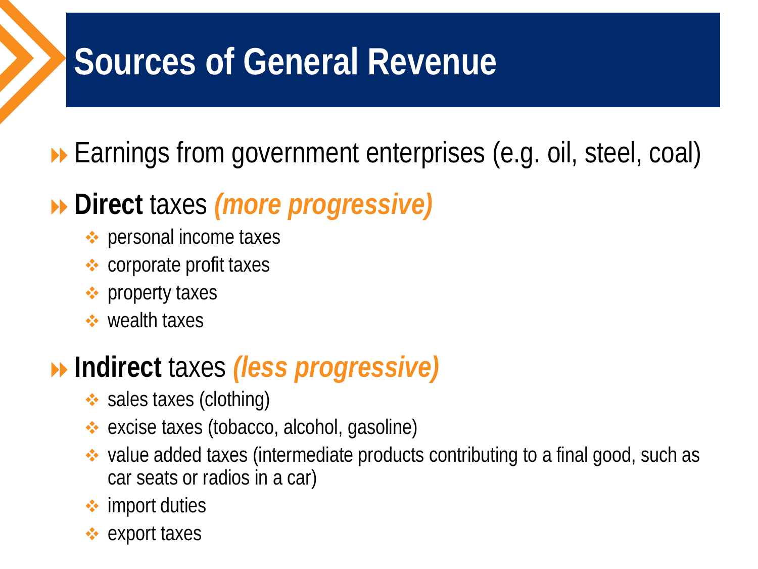### **Sources of General Revenue**

#### **Earnings from government enterprises (e.g. oil, steel, coal)**

#### **Direct** taxes *(more progressive)*

- **❖** personal income taxes
- **❖** corporate profit taxes
- **❖** property taxes
- wealth taxes

#### **Indirect** taxes *(less progressive)*

- $\leftrightarrow$  sales taxes (clothing)
- excise taxes (tobacco, alcohol, gasoline)
- value added taxes (intermediate products contributing to a final good, such as car seats or radios in a car)
- **<sup>→</sup>** import duties
- $\div$  export taxes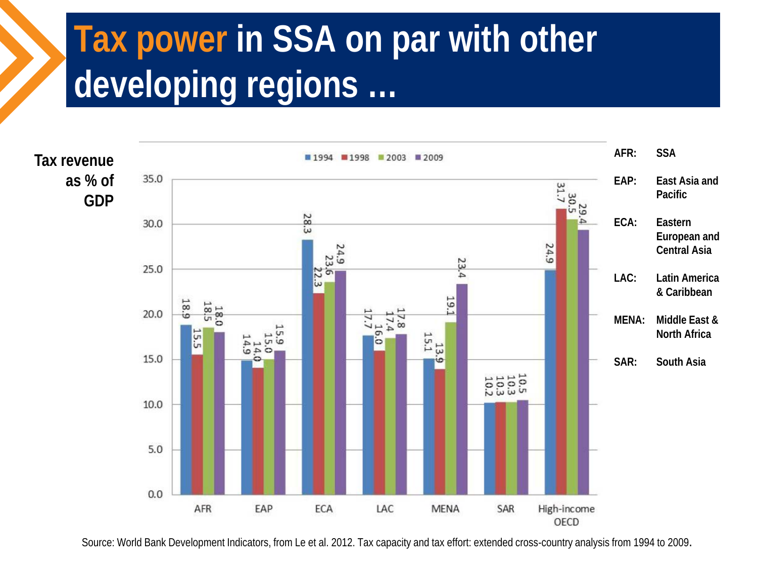### **Tax power in SSA on par with other developing regions …**



Source: World Bank Development Indicators, from Le et al. 2012. Tax capacity and tax effort: extended cross-country analysis from 1994 to 2009.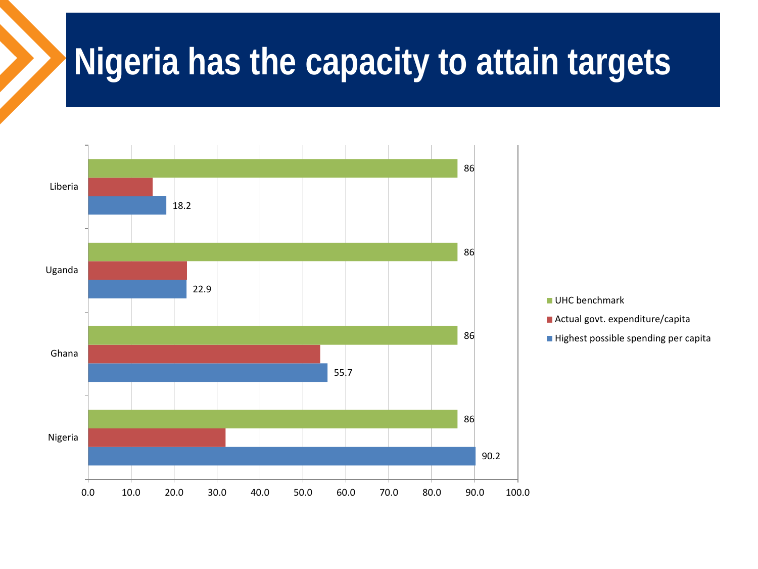#### **Nigeria has the capacity to attain targets**

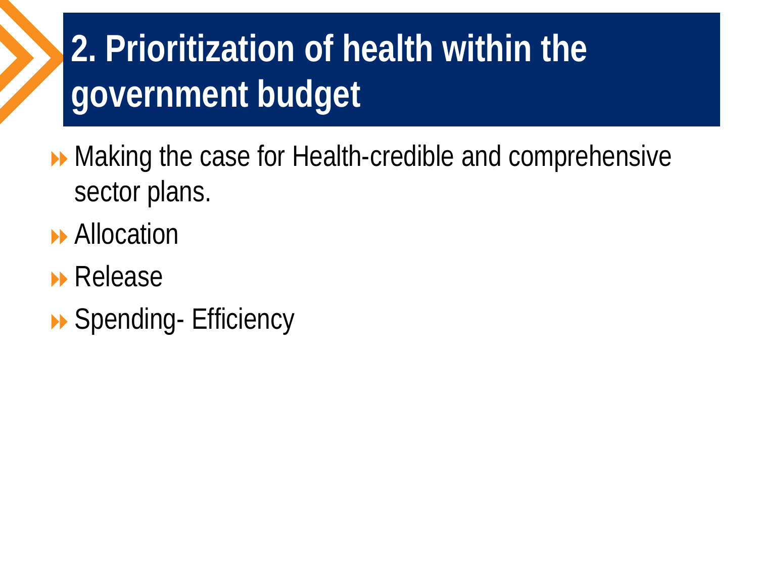## **2. Prioritization of health within the government budget**

▶ Making the case for Health-credible and comprehensive sector plans.

- **Allocation**
- **Release**
- ▶ Spending- Efficiency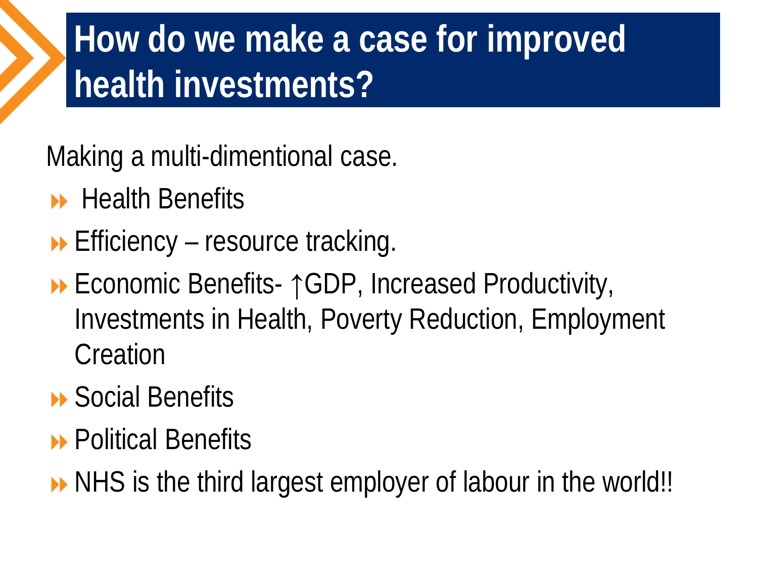### **How do we make a case for improved health investments?**

Making a multi-dimentional case.

- $\rightarrow$  Health Benefits
- $\rightarrow$  Efficiency resource tracking.
- Economic Benefits- ↑GDP, Increased Productivity, Investments in Health, Poverty Reduction, Employment **Creation**

#### **▶ Social Benefits**

- **B** Political Benefits
- ▶ NHS is the third largest employer of labour in the world!!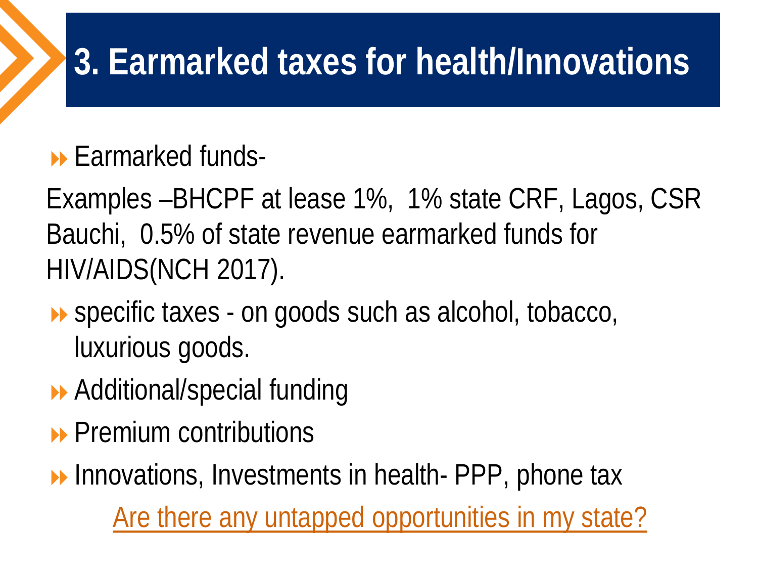### **3. Earmarked taxes for health/Innovations**

#### $\blacktriangleright$  Farmarked funds-

Examples –BHCPF at lease 1%, 1% state CRF, Lagos, CSR Bauchi, 0.5% of state revenue earmarked funds for HIV/AIDS(NCH 2017).

- ▶ specific taxes on goods such as alcohol, tobacco, luxurious goods.
- **▶ Additional/special funding**
- **Premium contributions**

**Innovations, Investments in health- PPP, phone tax** Are there any untapped opportunities in my state?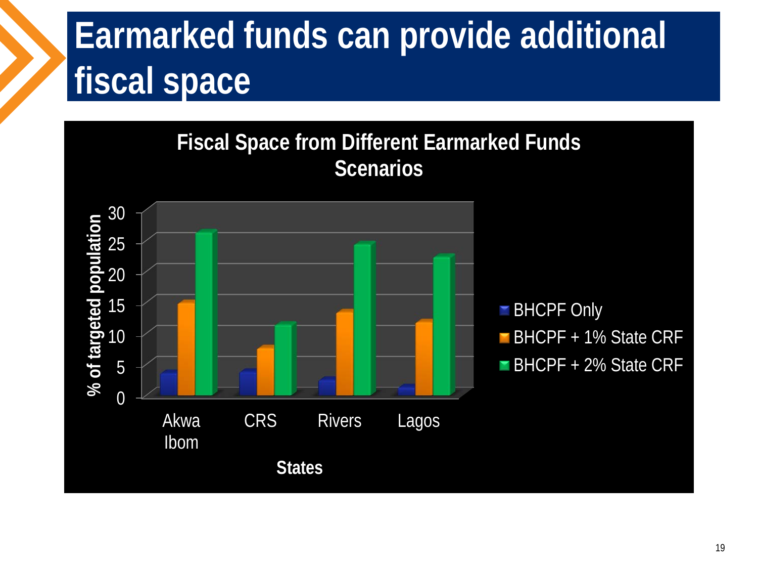### **Earmarked funds can provide additional fiscal space**

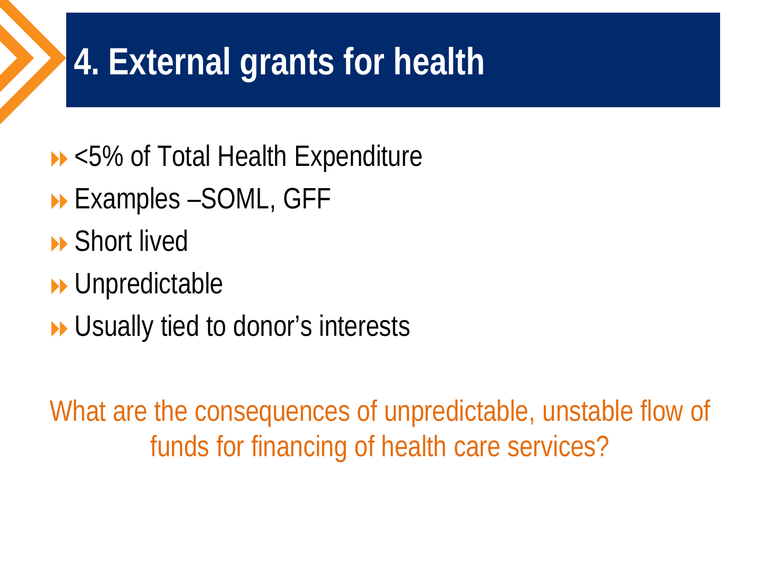### **4. External grants for health**

- ▶ <5% of Total Health Expenditure
- Examples –SOML, GFF
- **B** Short lived
- **Department**
- **▶ Usually tied to donor's interests**

What are the consequences of unpredictable, unstable flow of funds for financing of health care services?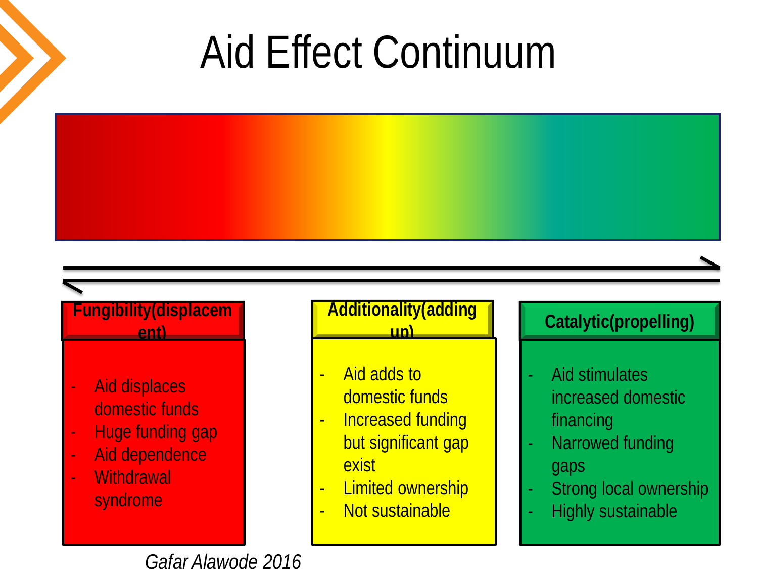# Aid Effect Continuum



- Aid displaces domestic funds
- Huge funding gap
- Aid dependence
- **Withdrawal** syndrome

#### **Additionality(adding**

- Aid adds to domestic funds
- Increased funding but significant gap exist
- **Limited ownership**
- Not sustainable

#### **up) Catalytic(propelling)**

- Aid stimulates increased domestic financing
- Narrowed funding gaps
- Strong local ownership
- Highly sustainable

*Gafar Alawode 2016*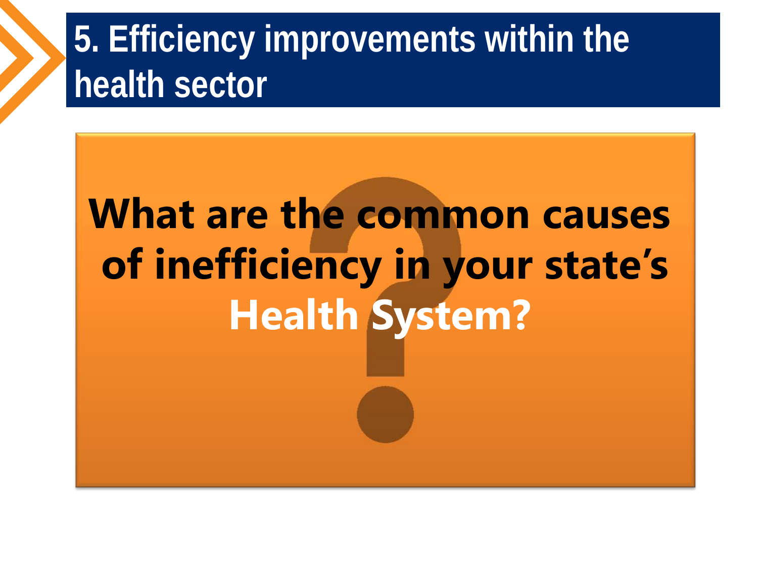### **5. Efficiency improvements within the health sector**

# **What are the common causes of inefficiency in your state's Health System?**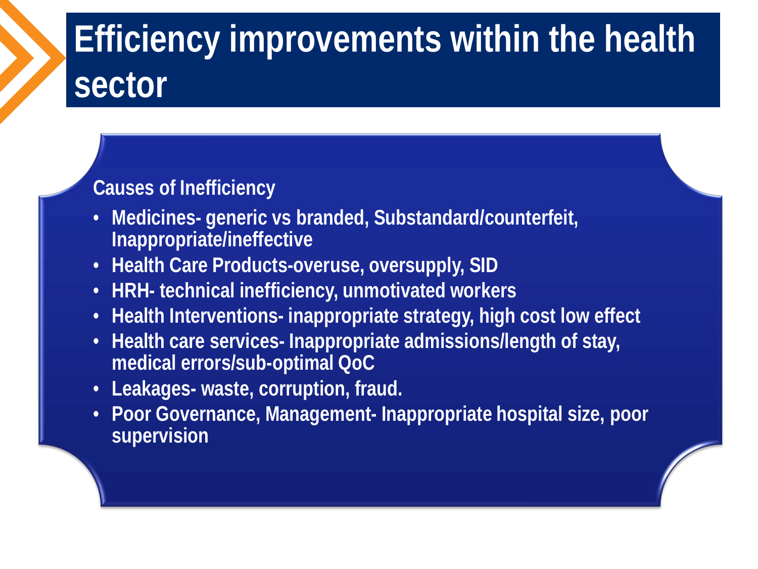## **Efficiency improvements within the health sector**

#### **Causes of Inefficiency**

- **Medicines- generic vs branded, Substandard/counterfeit, Inappropriate/ineffective**
- **Health Care Products-overuse, oversupply, SID**
- **HRH- technical inefficiency, unmotivated workers**
- **Health Interventions- inappropriate strategy, high cost low effect**
- **Health care services- Inappropriate admissions/length of stay, medical errors/sub-optimal QoC**
- **Leakages- waste, corruption, fraud.**
- **Poor Governance, Management- Inappropriate hospital size, poor supervision**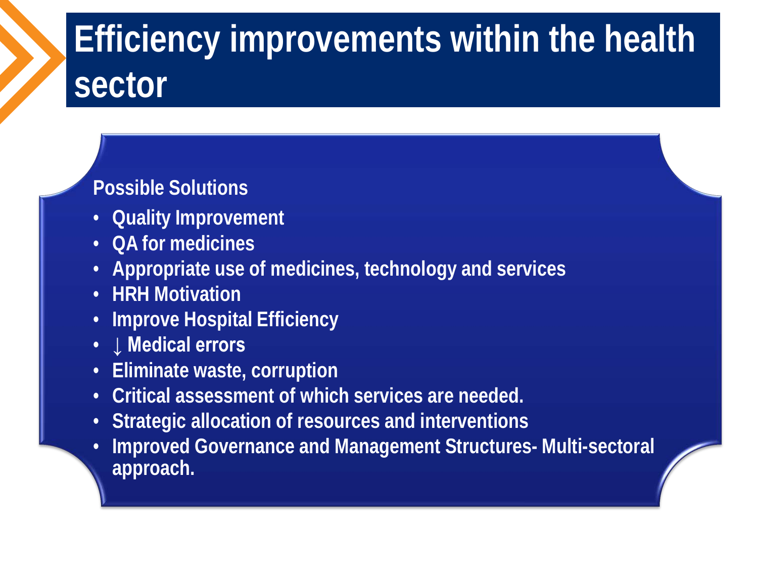## **Efficiency improvements within the health sector**

#### **Possible Solutions**

- **Quality Improvement**
- **QA for medicines**
- **Appropriate use of medicines, technology and services**
- **HRH Motivation**
- **Improve Hospital Efficiency**
- **↓ Medical errors**
- **Eliminate waste, corruption**
- **Critical assessment of which services are needed.**
- **Strategic allocation of resources and interventions**
- **Improved Governance and Management Structures- Multi-sectoral approach.**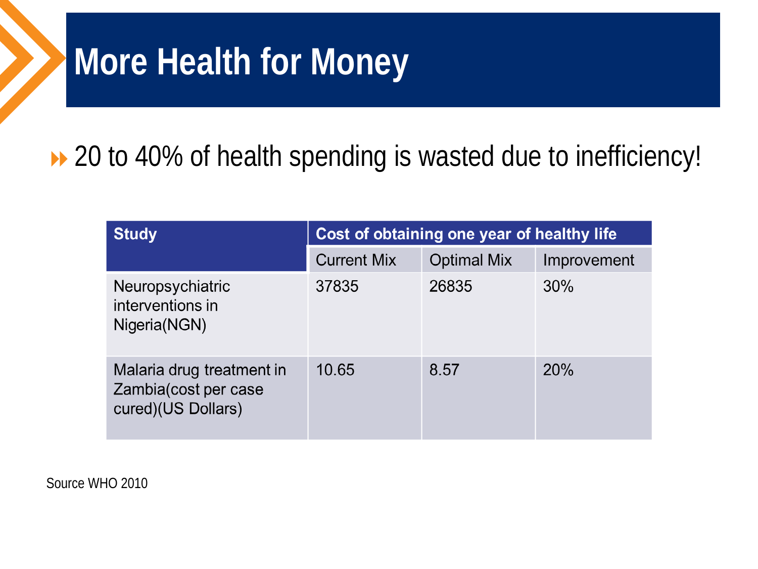#### **More Health for Money**

#### ▶ 20 to 40% of health spending is wasted due to inefficiency!

| <b>Study</b>                                                            | Cost of obtaining one year of healthy life |                    |             |  |
|-------------------------------------------------------------------------|--------------------------------------------|--------------------|-------------|--|
|                                                                         | <b>Current Mix</b>                         | <b>Optimal Mix</b> | Improvement |  |
| Neuropsychiatric<br>interventions in<br>Nigeria(NGN)                    | 37835                                      | 26835              | 30%         |  |
| Malaria drug treatment in<br>Zambia(cost per case<br>cured)(US Dollars) | 10.65                                      | 8.57               | <b>20%</b>  |  |

Source WHO 2010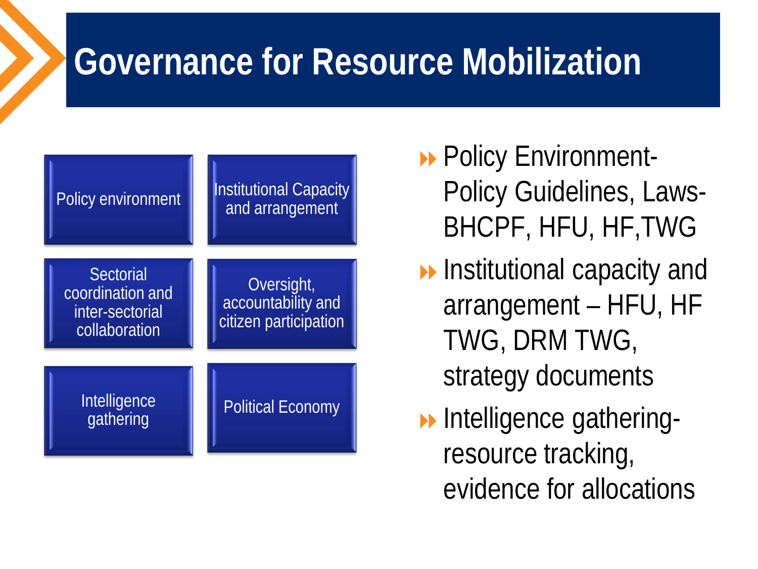### **Governance for Resource Mobilization**



- **Policy Environment-**Policy Guidelines, Laws-BHCPF, HFU, HF,TWG
- **Institutional capacity and** arrangement – HFU, HF TWG, DRM TWG, strategy documents
- **Intelligence gathering**resource tracking, evidence for allocations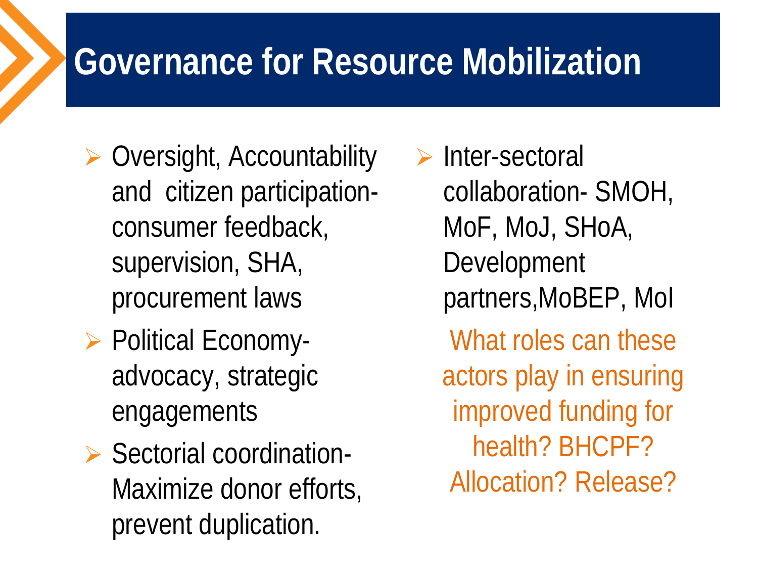### **Governance for Resource Mobilization**

- $\triangleright$  Oversight, Accountability and citizen participationconsumer feedback, supervision, SHA, procurement laws
- ▶ Political Economyadvocacy, strategic engagements
- $\triangleright$  Sectorial coordination-Maximize donor efforts, prevent duplication.

 $\triangleright$  Inter-sectoral collaboration- SMOH, MoF, MoJ, SHoA, Development partners,MoBEP, MoI What roles can these actors play in ensuring improved funding for health? BHCPF? Allocation? Release?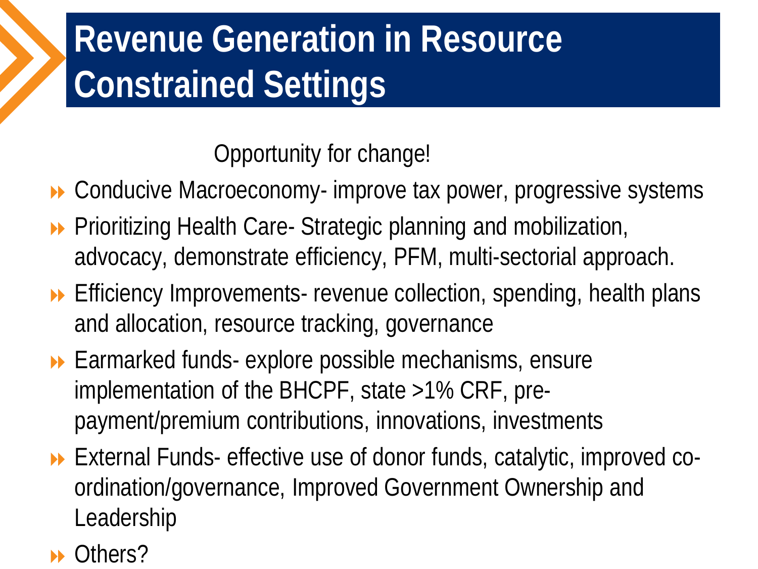## **Revenue Generation in Resource Constrained Settings**

Opportunity for change!

▶ Conducive Macroeconomy- improve tax power, progressive systems

- **Prioritizing Health Care- Strategic planning and mobilization,** advocacy, demonstrate efficiency, PFM, multi-sectorial approach.
- **Efficiency Improvements- revenue collection, spending, health plans** and allocation, resource tracking, governance
- ▶ Earmarked funds- explore possible mechanisms, ensure implementation of the BHCPF, state >1% CRF, prepayment/premium contributions, innovations, investments
- External Funds- effective use of donor funds, catalytic, improved coordination/governance, Improved Government Ownership and Leadership

#### **▶** Others?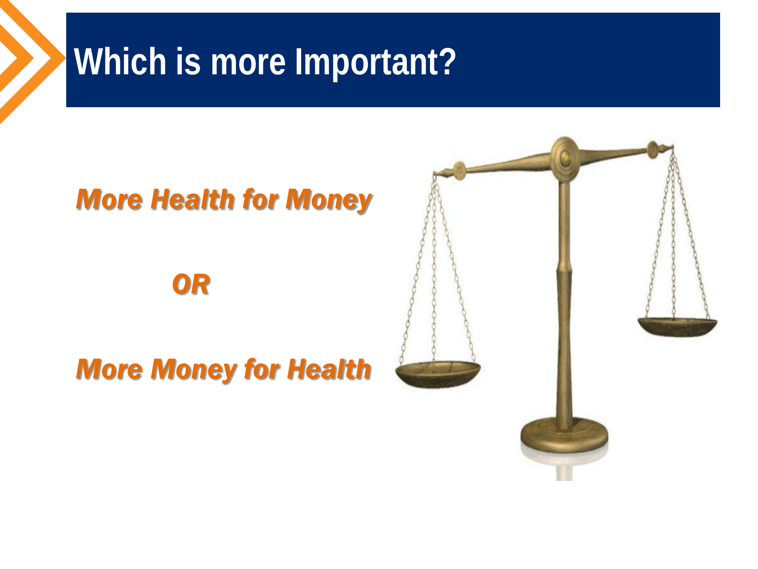#### **Which is more Important?**

#### *More Health for Money*

 *OR*

#### *More Money for Health*

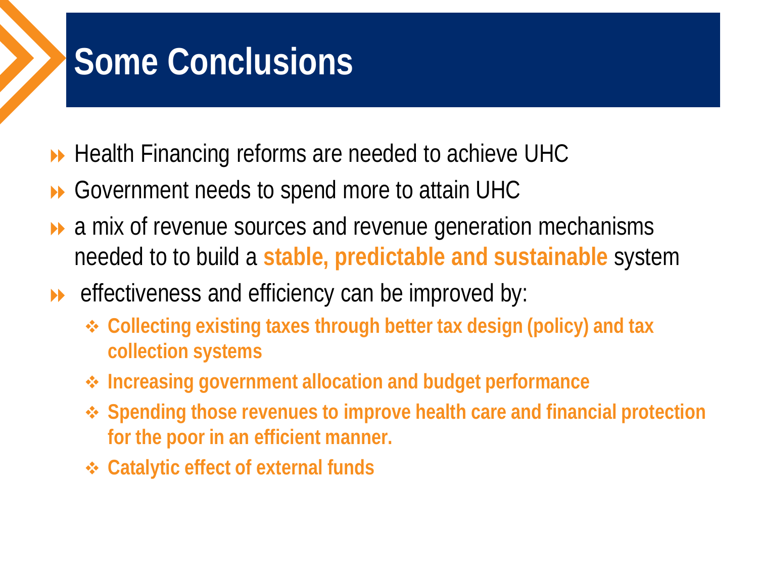### **Some Conclusions**

- **► Health Financing reforms are needed to achieve UHC**
- **▶ Government needs to spend more to attain UHC**
- $\rightarrow$  a mix of revenue sources and revenue generation mechanisms needed to to build a **stable, predictable and sustainable** system
- **EXECT** effectiveness and efficiency can be improved by:
	- **Collecting existing taxes through better tax design (policy) and tax collection systems**
	- **Increasing government allocation and budget performance**
	- **Spending those revenues to improve health care and financial protection for the poor in an efficient manner.**
	- **Catalytic effect of external funds**